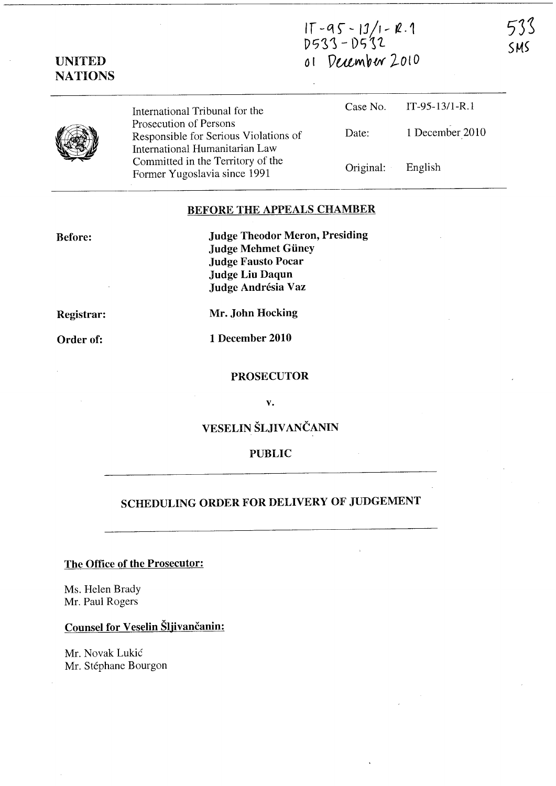$T - 95 - 13/1 - R.1$ 0533 - D532 *o* <sup>I</sup>PULW\~W *2..ot 0* 

| UNITED         |  |
|----------------|--|
| <b>NATIONS</b> |  |

| International Tribunal for the                                      |                   | Case No. IT-95-13/1-R.1 |
|---------------------------------------------------------------------|-------------------|-------------------------|
| Prosecution of Persons<br>Responsible for Serious Violations of     | Date:             | 1 December 2010         |
| International Humanitarian Law<br>Committed in the Territory of the |                   |                         |
| Former Yugoslavia since 1991                                        | Original: English |                         |

### BEFORE THE APPEALS CHAMBER

Before:

Judge Theodor Meron, Presiding Judge Mehmet Giiney Judge Fausto Pocar Judge Liu Daqun Judge Andrésia Vaz

Registrar:

Order of:

Mr. John Hocking

1 December 2010

### PROSECUTOR

v.

# VESELIN ŠLJIVANČANIN

#### PUBLIC

# SCHEDULING ORDER FOR DELIVERY OF JUDGEMENT

## The Office of the Prosecutor:

Ms. Helen Brady Mr. Paul Rogers

# Counsel for Veselin Šljivančanin:

Mr. Novak Lukic Mr. Stéphane Bourgon